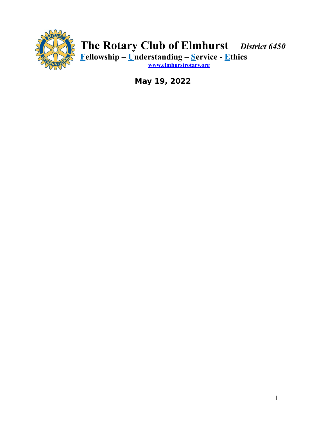

# **The Rotary Club of Elmhurst** *District 6450* **Fellowship – Understanding – Service - Ethics**

**[www.elmhurstrotary.org](http://www.elmhurstrotary.org/)**

**May 19, 2022**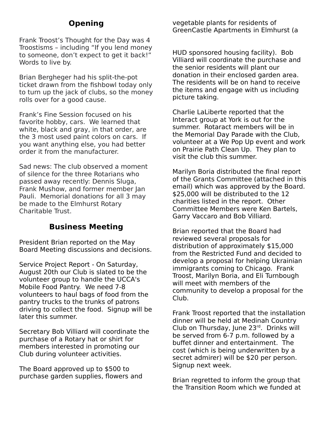# **Opening**

Frank Troost's Thought for the Day was 4 Troostisms – including "If you lend money to someone, don't expect to get it back!" Words to live by.

Brian Bergheger had his split-the-pot ticket drawn from the fishbowl today only to turn up the jack of clubs, so the money rolls over for a good cause.

Frank's Fine Session focused on his favorite hobby, cars. We learned that white, black and gray, in that order, are the 3 most used paint colors on cars. If you want anything else, you had better order it from the manufacturer.

Sad news: The club observed a moment of silence for the three Rotarians who passed away recently: Dennis Sluga, Frank Mushow, and former member Jan Pauli. Memorial donations for all 3 may be made to the Elmhurst Rotary Charitable Trust.

### **Business Meeting**

President Brian reported on the May Board Meeting discussions and decisions.

Service Project Report - On Saturday, August 20th our Club is slated to be the volunteer group to handle the UCCA's Mobile Food Pantry. We need 7-8 volunteers to haul bags of food from the pantry trucks to the trunks of patrons driving to collect the food. Signup will be later this summer.

Secretary Bob Villiard will coordinate the purchase of a Rotary hat or shirt for members interested in promoting our Club during volunteer activities.

The Board approved up to \$500 to purchase garden supplies, flowers and vegetable plants for residents of GreenCastle Apartments in Elmhurst (a

HUD sponsored housing facility). Bob Villiard will coordinate the purchase and the senior residents will plant our donation in their enclosed garden area. The residents will be on hand to receive the items and engage with us including picture taking.

Charlie LaLiberte reported that the Interact group at York is out for the summer. Rotaract members will be in the Memorial Day Parade with the Club, volunteer at a We Pop Up event and work on Prairie Path Clean Up. They plan to visit the club this summer.

Marilyn Boria distributed the final report of the Grants Committee (attached in this email) which was approved by the Board. \$25,000 will be distributed to the 12 charities listed in the report. Other Committee Members were Ken Bartels, Garry Vaccaro and Bob Villiard.

Brian reported that the Board had reviewed several proposals for distribution of approximately \$15,000 from the Restricted Fund and decided to develop a proposal for helping Ukrainian immigrants coming to Chicago. Frank Troost, Marilyn Boria, and Eli Turnbough will meet with members of the community to develop a proposal for the Club.

Frank Troost reported that the installation dinner will be held at Medinah Country Club on Thursday, June 23rd. Drinks will be served from 6-7 p.m. followed by a buffet dinner and entertainment. The cost (which is being underwritten by a secret admirer) will be \$20 per person. Signup next week.

Brian regretted to inform the group that the Transition Room which we funded at